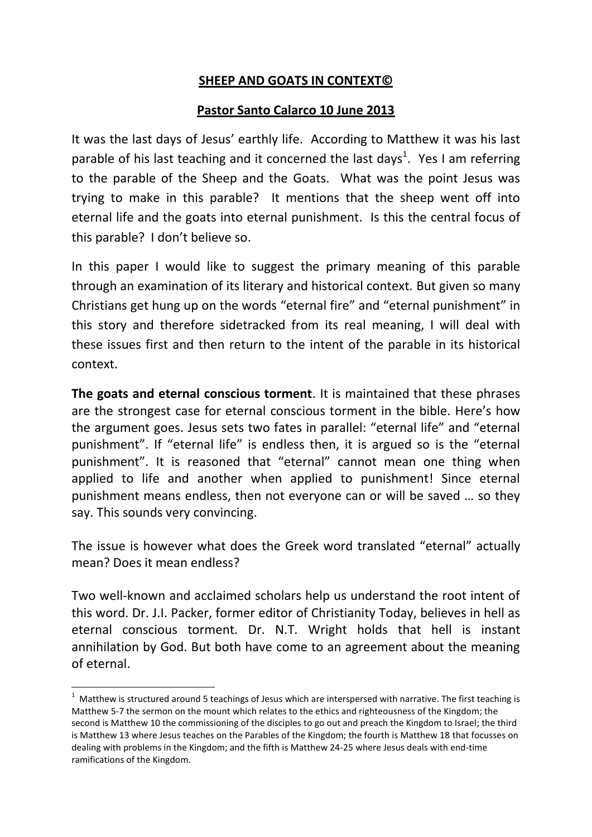### **SHEEP AND GOATS IN CONTEXT©**

#### **Pastor Santo Calarco 10 June 2013**

It was the last days of Jesus' earthly life. According to Matthew it was his last parable of his last teaching and it concerned the last days<sup>1</sup>. Yes I am referring to the parable of the Sheep and the Goats. What was the point Jesus was trying to make in this parable? It mentions that the sheep went off into eternal life and the goats into eternal punishment. Is this the central focus of this parable? I don't believe so.

In this paper I would like to suggest the primary meaning of this parable through an examination of its literary and historical context. But given so many Christians get hung up on the words "eternal fire" and "eternal punishment" in this story and therefore sidetracked from its real meaning, I will deal with these issues first and then return to the intent of the parable in its historical context.

**The goats and eternal conscious torment**. It is maintained that these phrases are the strongest case for eternal conscious torment in the bible. Here's how the argument goes. Jesus sets two fates in parallel: "eternal life" and "eternal punishment". If "eternal life" is endless then, it is argued so is the "eternal punishment". It is reasoned that "eternal" cannot mean one thing when applied to life and another when applied to punishment! Since eternal punishment means endless, then not everyone can or will be saved … so they say. This sounds very convincing.

The issue is however what does the Greek word translated "eternal" actually mean? Does it mean endless?

Two well-known and acclaimed scholars help us understand the root intent of this word. Dr. J.I. Packer, former editor of Christianity Today, believes in hell as eternal conscious torment. Dr. N.T. Wright holds that hell is instant annihilation by God. But both have come to an agreement about the meaning of eternal.

**.** 

 $1$  Matthew is structured around 5 teachings of Jesus which are interspersed with narrative. The first teaching is Matthew 5-7 the sermon on the mount which relates to the ethics and righteousness of the Kingdom; the second is Matthew 10 the commissioning of the disciples to go out and preach the Kingdom to Israel; the third is Matthew 13 where Jesus teaches on the Parables of the Kingdom; the fourth is Matthew 18 that focusses on dealing with problems in the Kingdom; and the fifth is Matthew 24-25 where Jesus deals with end-time ramifications of the Kingdom.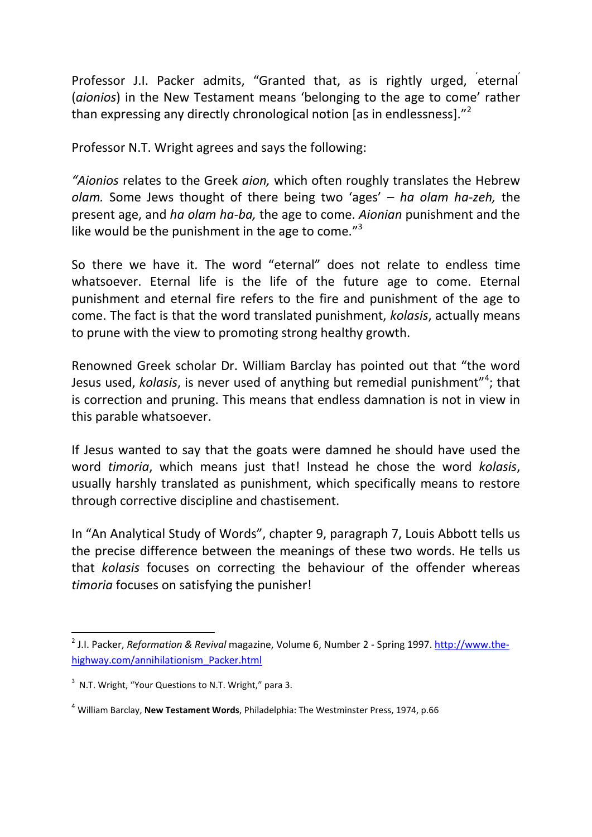Professor J.I. Packer admits, "Granted that, as is rightly urged, eternal (*aionios*) in the New Testament means 'belonging to the age to come' rather than expressing any directly chronological notion [as in endlessness]. $^{2}$ 

Professor N.T. Wright agrees and says the following:

*"Aionios* relates to the Greek *aion,* which often roughly translates the Hebrew *olam.* Some Jews thought of there being two 'ages' – *ha olam ha-zeh,* the present age, and *ha olam ha-ba,* the age to come. *Aionian* punishment and the like would be the punishment in the age to come."<sup>3</sup>

So there we have it. The word "eternal" does not relate to endless time whatsoever. Eternal life is the life of the future age to come. Eternal punishment and eternal fire refers to the fire and punishment of the age to come. The fact is that the word translated punishment, *kolasis*, actually means to prune with the view to promoting strong healthy growth.

Renowned Greek scholar Dr. William Barclay has pointed out that "the word Jesus used, *kolasis*, is never used of anything but remedial punishment"<sup>4</sup>; that is correction and pruning. This means that endless damnation is not in view in this parable whatsoever.

If Jesus wanted to say that the goats were damned he should have used the word *timoria*, which means just that! Instead he chose the word *kolasis*, usually harshly translated as punishment, which specifically means to restore through corrective discipline and chastisement.

In "An Analytical Study of Words", chapter 9, paragraph 7, Louis Abbott tells us the precise difference between the meanings of these two words. He tells us that *kolasis* focuses on correcting the behaviour of the offender whereas *timoria* focuses on satisfying the punisher!

 $\overline{a}$ 

<sup>&</sup>lt;sup>2</sup> J.I. Packer, *Reformation & Revival* magazine, Volume 6, Number 2 - Spring 1997. [http://www.the](http://www.the-highway.com/annihilationism_Packer.html)[highway.com/annihilationism\\_Packer.html](http://www.the-highway.com/annihilationism_Packer.html)

 $3$  N.T. Wright, "Your Questions to N.T. Wright," para 3.

<sup>4</sup> William Barclay, **New Testament Words**, Philadelphia: The Westminster Press, 1974, p.66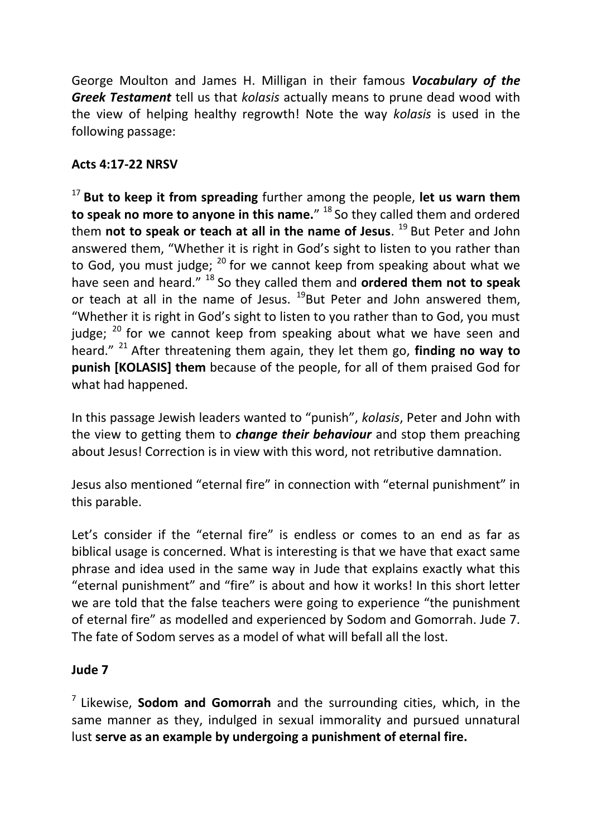George Moulton and James H. Milligan in their famous *Vocabulary of the Greek Testament* tell us that *kolasis* actually means to prune dead wood with the view of helping healthy regrowth! Note the way *kolasis* is used in the following passage:

# **Acts 4:17-22 NRSV**

<sup>17</sup>**But to keep it from spreading** further among the people, **let us warn them to speak no more to anyone in this name.**" <sup>18</sup> So they called them and ordered them **not to speak or teach at all in the name of Jesus**.<sup>19</sup> But Peter and John answered them, "Whether it is right in God's sight to listen to you rather than to God, you must judge;  $^{20}$  for we cannot keep from speaking about what we have seen and heard."<sup>18</sup> So they called them and **ordered them not to speak** or teach at all in the name of Jesus.  $^{19}$ But Peter and John answered them, "Whether it is right in God's sight to listen to you rather than to God, you must judge;  $20$  for we cannot keep from speaking about what we have seen and heard." <sup>21</sup>After threatening them again, they let them go, **finding no way to punish [KOLASIS] them** because of the people, for all of them praised God for what had happened.

In this passage Jewish leaders wanted to "punish", *kolasis*, Peter and John with the view to getting them to *change their behaviour* and stop them preaching about Jesus! Correction is in view with this word, not retributive damnation.

Jesus also mentioned "eternal fire" in connection with "eternal punishment" in this parable.

Let's consider if the "eternal fire" is endless or comes to an end as far as biblical usage is concerned. What is interesting is that we have that exact same phrase and idea used in the same way in Jude that explains exactly what this "eternal punishment" and "fire" is about and how it works! In this short letter we are told that the false teachers were going to experience "the punishment of eternal fire" as modelled and experienced by Sodom and Gomorrah. Jude 7. The fate of Sodom serves as a model of what will befall all the lost.

### **Jude 7**

<sup>7</sup>Likewise, **Sodom and Gomorrah** and the surrounding cities, which, in the same manner as they, indulged in sexual immorality and pursued unnatural lust **serve as an example by undergoing a punishment of eternal fire.**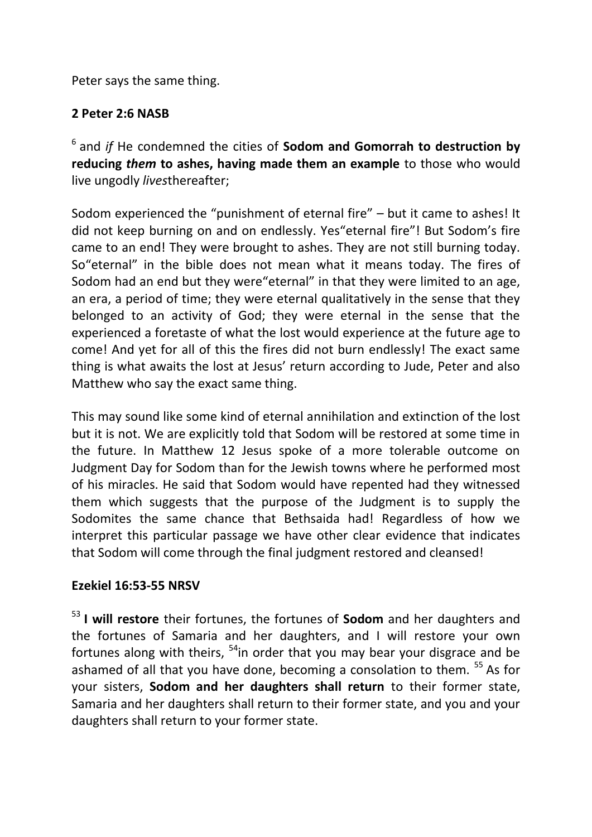Peter says the same thing.

### **2 Peter 2:6 NASB**

<sup>6</sup>and *if* He condemned the cities of **Sodom and Gomorrah to destruction by reducing** *them* **to ashes, having made them an example** to those who would live ungodly *lives*thereafter;

Sodom experienced the "punishment of eternal fire" – but it came to ashes! It did not keep burning on and on endlessly. Yes"eternal fire"! But Sodom's fire came to an end! They were brought to ashes. They are not still burning today. So"eternal" in the bible does not mean what it means today. The fires of Sodom had an end but they were"eternal" in that they were limited to an age, an era, a period of time; they were eternal qualitatively in the sense that they belonged to an activity of God; they were eternal in the sense that the experienced a foretaste of what the lost would experience at the future age to come! And yet for all of this the fires did not burn endlessly! The exact same thing is what awaits the lost at Jesus' return according to Jude, Peter and also Matthew who say the exact same thing.

This may sound like some kind of eternal annihilation and extinction of the lost but it is not. We are explicitly told that Sodom will be restored at some time in the future. In Matthew 12 Jesus spoke of a more tolerable outcome on Judgment Day for Sodom than for the Jewish towns where he performed most of his miracles. He said that Sodom would have repented had they witnessed them which suggests that the purpose of the Judgment is to supply the Sodomites the same chance that Bethsaida had! Regardless of how we interpret this particular passage we have other clear evidence that indicates that Sodom will come through the final judgment restored and cleansed!

# **Ezekiel 16:53-55 NRSV**

<sup>53</sup>**I will restore** their fortunes, the fortunes of **Sodom** and her daughters and the fortunes of Samaria and her daughters, and I will restore your own fortunes along with theirs,  $54$ in order that you may bear your disgrace and be ashamed of all that you have done, becoming a consolation to them. <sup>55</sup> As for your sisters, **Sodom and her daughters shall return** to their former state, Samaria and her daughters shall return to their former state, and you and your daughters shall return to your former state.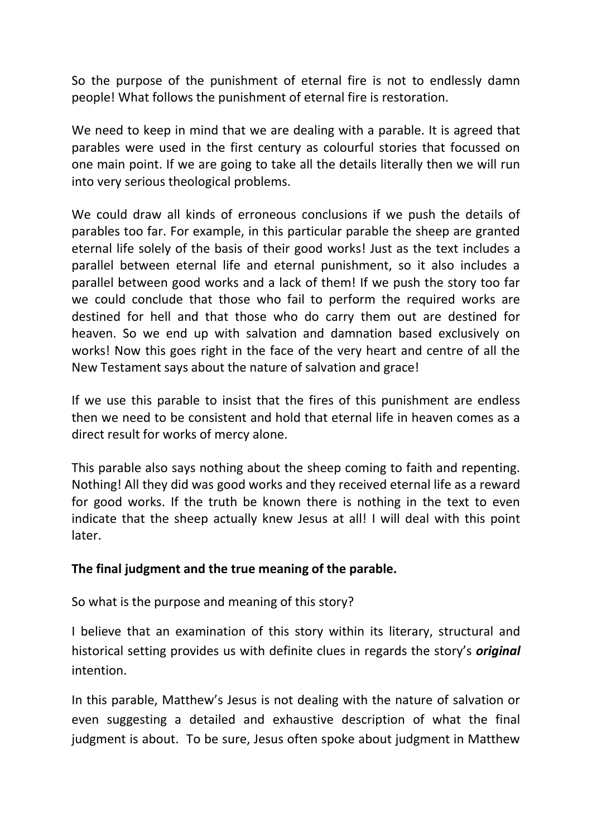So the purpose of the punishment of eternal fire is not to endlessly damn people! What follows the punishment of eternal fire is restoration.

We need to keep in mind that we are dealing with a parable. It is agreed that parables were used in the first century as colourful stories that focussed on one main point. If we are going to take all the details literally then we will run into very serious theological problems.

We could draw all kinds of erroneous conclusions if we push the details of parables too far. For example, in this particular parable the sheep are granted eternal life solely of the basis of their good works! Just as the text includes a parallel between eternal life and eternal punishment, so it also includes a parallel between good works and a lack of them! If we push the story too far we could conclude that those who fail to perform the required works are destined for hell and that those who do carry them out are destined for heaven. So we end up with salvation and damnation based exclusively on works! Now this goes right in the face of the very heart and centre of all the New Testament says about the nature of salvation and grace!

If we use this parable to insist that the fires of this punishment are endless then we need to be consistent and hold that eternal life in heaven comes as a direct result for works of mercy alone.

This parable also says nothing about the sheep coming to faith and repenting. Nothing! All they did was good works and they received eternal life as a reward for good works. If the truth be known there is nothing in the text to even indicate that the sheep actually knew Jesus at all! I will deal with this point later.

### **The final judgment and the true meaning of the parable.**

So what is the purpose and meaning of this story?

I believe that an examination of this story within its literary, structural and historical setting provides us with definite clues in regards the story's *original*  intention.

In this parable, Matthew's Jesus is not dealing with the nature of salvation or even suggesting a detailed and exhaustive description of what the final judgment is about. To be sure, Jesus often spoke about judgment in Matthew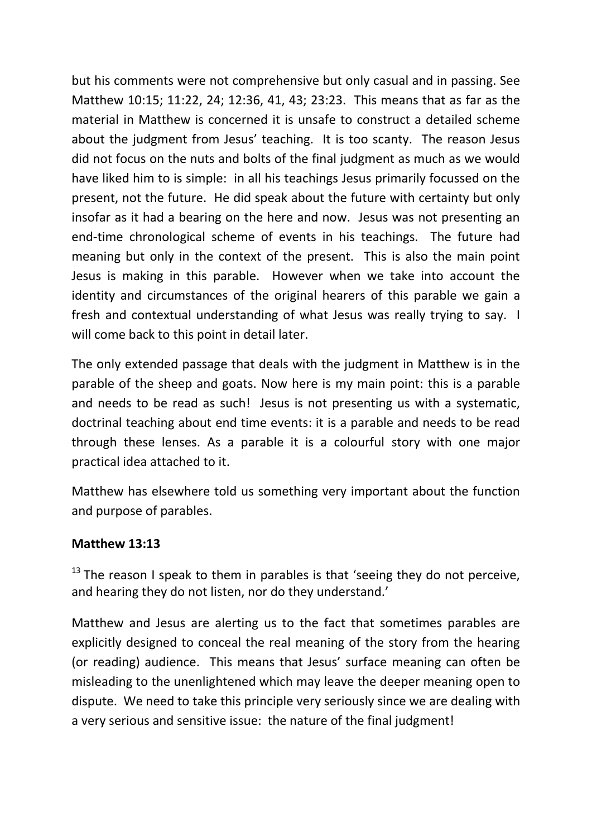but his comments were not comprehensive but only casual and in passing. See Matthew 10:15; 11:22, 24; 12:36, 41, 43; 23:23. This means that as far as the material in Matthew is concerned it is unsafe to construct a detailed scheme about the judgment from Jesus' teaching. It is too scanty. The reason Jesus did not focus on the nuts and bolts of the final judgment as much as we would have liked him to is simple: in all his teachings Jesus primarily focussed on the present, not the future. He did speak about the future with certainty but only insofar as it had a bearing on the here and now. Jesus was not presenting an end-time chronological scheme of events in his teachings. The future had meaning but only in the context of the present. This is also the main point Jesus is making in this parable. However when we take into account the identity and circumstances of the original hearers of this parable we gain a fresh and contextual understanding of what Jesus was really trying to say. I will come back to this point in detail later.

The only extended passage that deals with the judgment in Matthew is in the parable of the sheep and goats. Now here is my main point: this is a parable and needs to be read as such! Jesus is not presenting us with a systematic, doctrinal teaching about end time events: it is a parable and needs to be read through these lenses. As a parable it is a colourful story with one major practical idea attached to it.

Matthew has elsewhere told us something very important about the function and purpose of parables.

### **Matthew 13:13**

 $13$  The reason I speak to them in parables is that 'seeing they do not perceive, and hearing they do not listen, nor do they understand.'

Matthew and Jesus are alerting us to the fact that sometimes parables are explicitly designed to conceal the real meaning of the story from the hearing (or reading) audience. This means that Jesus' surface meaning can often be misleading to the unenlightened which may leave the deeper meaning open to dispute. We need to take this principle very seriously since we are dealing with a very serious and sensitive issue: the nature of the final judgment!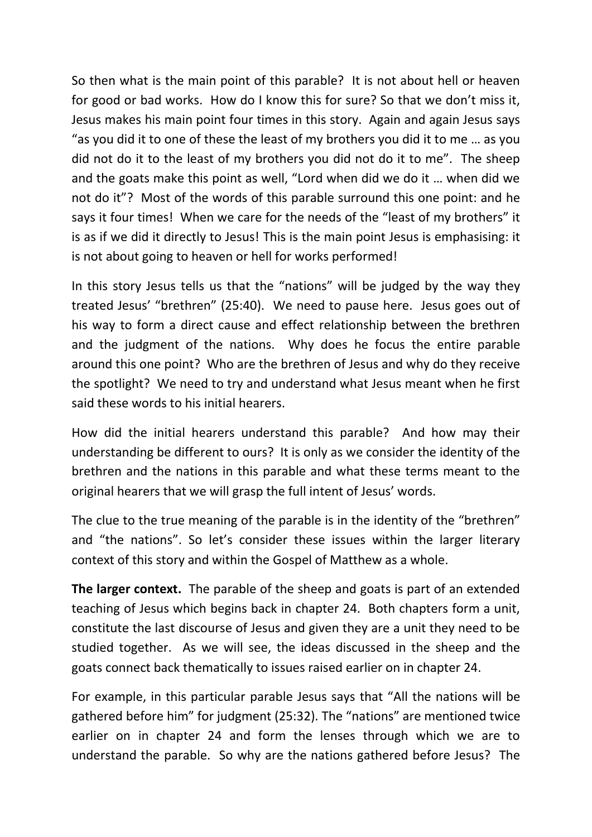So then what is the main point of this parable? It is not about hell or heaven for good or bad works. How do I know this for sure? So that we don't miss it, Jesus makes his main point four times in this story. Again and again Jesus says "as you did it to one of these the least of my brothers you did it to me … as you did not do it to the least of my brothers you did not do it to me". The sheep and the goats make this point as well, "Lord when did we do it … when did we not do it"? Most of the words of this parable surround this one point: and he says it four times! When we care for the needs of the "least of my brothers" it is as if we did it directly to Jesus! This is the main point Jesus is emphasising: it is not about going to heaven or hell for works performed!

In this story Jesus tells us that the "nations" will be judged by the way they treated Jesus' "brethren" (25:40). We need to pause here. Jesus goes out of his way to form a direct cause and effect relationship between the brethren and the judgment of the nations. Why does he focus the entire parable around this one point? Who are the brethren of Jesus and why do they receive the spotlight? We need to try and understand what Jesus meant when he first said these words to his initial hearers.

How did the initial hearers understand this parable? And how may their understanding be different to ours? It is only as we consider the identity of the brethren and the nations in this parable and what these terms meant to the original hearers that we will grasp the full intent of Jesus' words.

The clue to the true meaning of the parable is in the identity of the "brethren" and "the nations". So let's consider these issues within the larger literary context of this story and within the Gospel of Matthew as a whole.

**The larger context.** The parable of the sheep and goats is part of an extended teaching of Jesus which begins back in chapter 24. Both chapters form a unit, constitute the last discourse of Jesus and given they are a unit they need to be studied together. As we will see, the ideas discussed in the sheep and the goats connect back thematically to issues raised earlier on in chapter 24.

For example, in this particular parable Jesus says that "All the nations will be gathered before him" for judgment (25:32). The "nations" are mentioned twice earlier on in chapter 24 and form the lenses through which we are to understand the parable. So why are the nations gathered before Jesus? The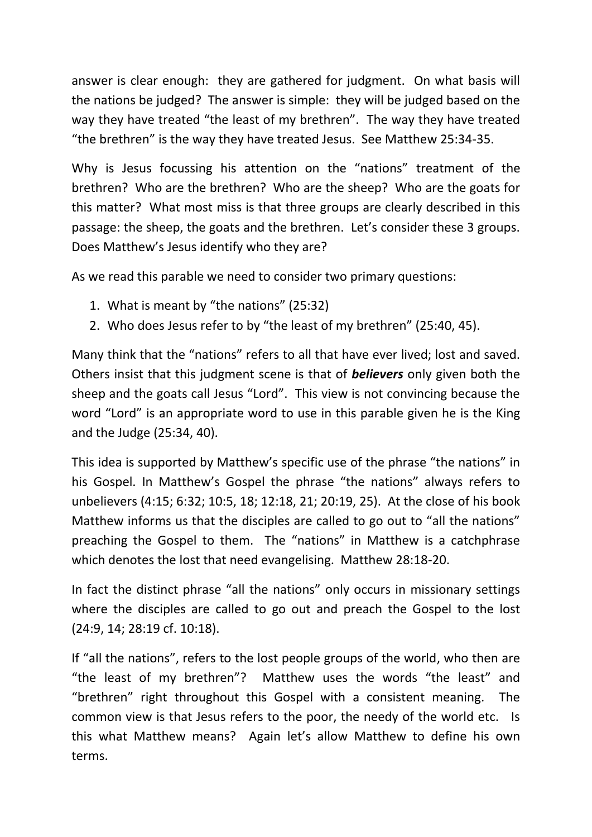answer is clear enough: they are gathered for judgment. On what basis will the nations be judged? The answer is simple: they will be judged based on the way they have treated "the least of my brethren". The way they have treated "the brethren" is the way they have treated Jesus. See Matthew 25:34-35.

Why is Jesus focussing his attention on the "nations" treatment of the brethren? Who are the brethren? Who are the sheep? Who are the goats for this matter? What most miss is that three groups are clearly described in this passage: the sheep, the goats and the brethren. Let's consider these 3 groups. Does Matthew's Jesus identify who they are?

As we read this parable we need to consider two primary questions:

- 1. What is meant by "the nations" (25:32)
- 2. Who does Jesus refer to by "the least of my brethren" (25:40, 45).

Many think that the "nations" refers to all that have ever lived; lost and saved. Others insist that this judgment scene is that of *believers* only given both the sheep and the goats call Jesus "Lord". This view is not convincing because the word "Lord" is an appropriate word to use in this parable given he is the King and the Judge (25:34, 40).

This idea is supported by Matthew's specific use of the phrase "the nations" in his Gospel. In Matthew's Gospel the phrase "the nations" always refers to unbelievers (4:15; 6:32; 10:5, 18; 12:18, 21; 20:19, 25). At the close of his book Matthew informs us that the disciples are called to go out to "all the nations" preaching the Gospel to them. The "nations" in Matthew is a catchphrase which denotes the lost that need evangelising. Matthew 28:18-20.

In fact the distinct phrase "all the nations" only occurs in missionary settings where the disciples are called to go out and preach the Gospel to the lost (24:9, 14; 28:19 cf. 10:18).

If "all the nations", refers to the lost people groups of the world, who then are "the least of my brethren"? Matthew uses the words "the least" and "brethren" right throughout this Gospel with a consistent meaning. The common view is that Jesus refers to the poor, the needy of the world etc. Is this what Matthew means? Again let's allow Matthew to define his own terms.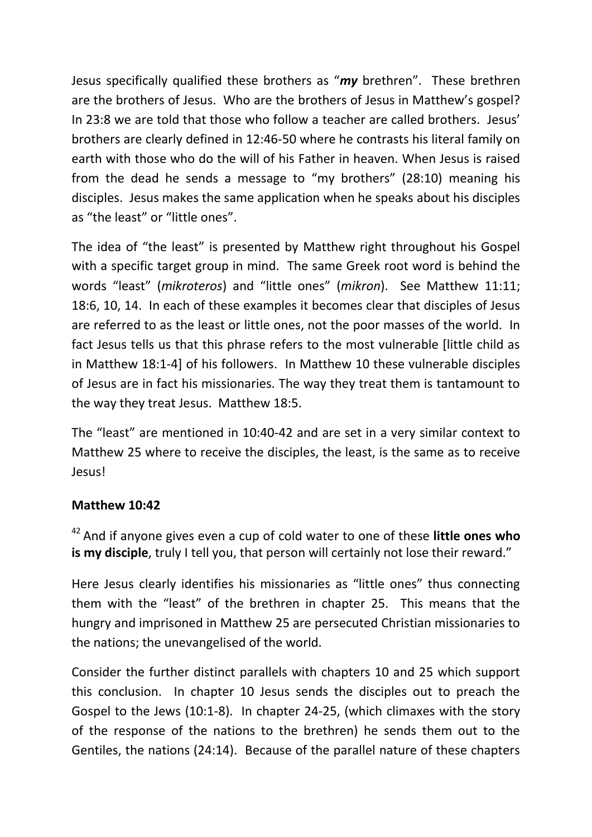Jesus specifically qualified these brothers as "*my* brethren". These brethren are the brothers of Jesus. Who are the brothers of Jesus in Matthew's gospel? In 23:8 we are told that those who follow a teacher are called brothers. Jesus' brothers are clearly defined in 12:46-50 where he contrasts his literal family on earth with those who do the will of his Father in heaven. When Jesus is raised from the dead he sends a message to "my brothers" (28:10) meaning his disciples. Jesus makes the same application when he speaks about his disciples as "the least" or "little ones".

The idea of "the least" is presented by Matthew right throughout his Gospel with a specific target group in mind. The same Greek root word is behind the words "least" (*mikroteros*) and "little ones" (*mikron*). See Matthew 11:11; 18:6, 10, 14. In each of these examples it becomes clear that disciples of Jesus are referred to as the least or little ones, not the poor masses of the world. In fact Jesus tells us that this phrase refers to the most vulnerable [little child as in Matthew 18:1-4] of his followers. In Matthew 10 these vulnerable disciples of Jesus are in fact his missionaries. The way they treat them is tantamount to the way they treat Jesus. Matthew 18:5.

The "least" are mentioned in 10:40-42 and are set in a very similar context to Matthew 25 where to receive the disciples, the least, is the same as to receive Jesus!

# **Matthew 10:42**

<sup>42</sup>And if anyone gives even a cup of cold water to one of these **little ones who is my disciple**, truly I tell you, that person will certainly not lose their reward."

Here Jesus clearly identifies his missionaries as "little ones" thus connecting them with the "least" of the brethren in chapter 25. This means that the hungry and imprisoned in Matthew 25 are persecuted Christian missionaries to the nations; the unevangelised of the world.

Consider the further distinct parallels with chapters 10 and 25 which support this conclusion. In chapter 10 Jesus sends the disciples out to preach the Gospel to the Jews (10:1-8). In chapter 24-25, (which climaxes with the story of the response of the nations to the brethren) he sends them out to the Gentiles, the nations (24:14). Because of the parallel nature of these chapters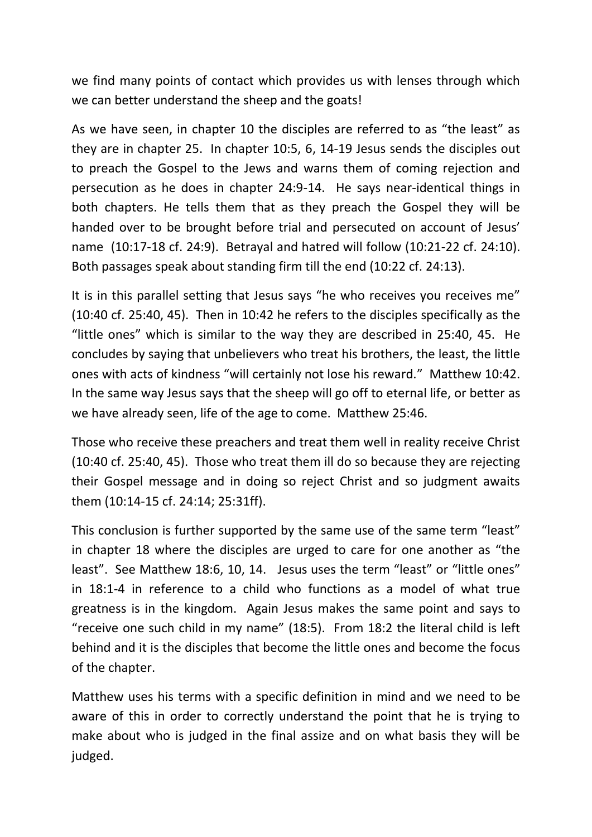we find many points of contact which provides us with lenses through which we can better understand the sheep and the goats!

As we have seen, in chapter 10 the disciples are referred to as "the least" as they are in chapter 25. In chapter 10:5, 6, 14-19 Jesus sends the disciples out to preach the Gospel to the Jews and warns them of coming rejection and persecution as he does in chapter 24:9-14. He says near-identical things in both chapters. He tells them that as they preach the Gospel they will be handed over to be brought before trial and persecuted on account of Jesus' name (10:17-18 cf. 24:9). Betrayal and hatred will follow (10:21-22 cf. 24:10). Both passages speak about standing firm till the end (10:22 cf. 24:13).

It is in this parallel setting that Jesus says "he who receives you receives me" (10:40 cf. 25:40, 45). Then in 10:42 he refers to the disciples specifically as the "little ones" which is similar to the way they are described in 25:40, 45. He concludes by saying that unbelievers who treat his brothers, the least, the little ones with acts of kindness "will certainly not lose his reward." Matthew 10:42. In the same way Jesus says that the sheep will go off to eternal life, or better as we have already seen, life of the age to come. Matthew 25:46.

Those who receive these preachers and treat them well in reality receive Christ (10:40 cf. 25:40, 45). Those who treat them ill do so because they are rejecting their Gospel message and in doing so reject Christ and so judgment awaits them (10:14-15 cf. 24:14; 25:31ff).

This conclusion is further supported by the same use of the same term "least" in chapter 18 where the disciples are urged to care for one another as "the least". See Matthew 18:6, 10, 14. Jesus uses the term "least" or "little ones" in 18:1-4 in reference to a child who functions as a model of what true greatness is in the kingdom. Again Jesus makes the same point and says to "receive one such child in my name" (18:5). From 18:2 the literal child is left behind and it is the disciples that become the little ones and become the focus of the chapter.

Matthew uses his terms with a specific definition in mind and we need to be aware of this in order to correctly understand the point that he is trying to make about who is judged in the final assize and on what basis they will be judged.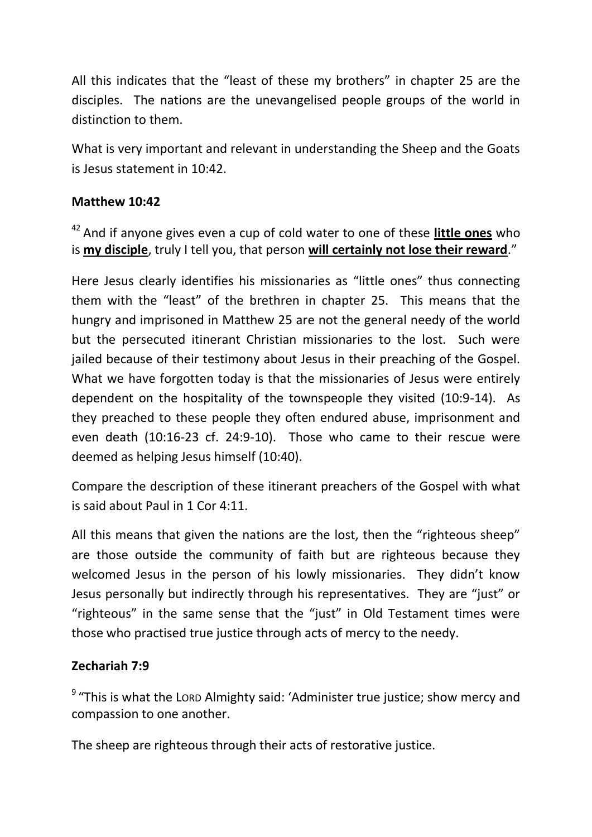All this indicates that the "least of these my brothers" in chapter 25 are the disciples. The nations are the unevangelised people groups of the world in distinction to them.

What is very important and relevant in understanding the Sheep and the Goats is Jesus statement in 10:42.

### **Matthew 10:42**

<sup>42</sup>And if anyone gives even a cup of cold water to one of these **little ones** who is **my disciple**, truly I tell you, that person **will certainly not lose their reward**."

Here Jesus clearly identifies his missionaries as "little ones" thus connecting them with the "least" of the brethren in chapter 25. This means that the hungry and imprisoned in Matthew 25 are not the general needy of the world but the persecuted itinerant Christian missionaries to the lost. Such were jailed because of their testimony about Jesus in their preaching of the Gospel. What we have forgotten today is that the missionaries of Jesus were entirely dependent on the hospitality of the townspeople they visited (10:9-14). As they preached to these people they often endured abuse, imprisonment and even death (10:16-23 cf. 24:9-10). Those who came to their rescue were deemed as helping Jesus himself (10:40).

Compare the description of these itinerant preachers of the Gospel with what is said about Paul in 1 Cor 4:11.

All this means that given the nations are the lost, then the "righteous sheep" are those outside the community of faith but are righteous because they welcomed Jesus in the person of his lowly missionaries. They didn't know Jesus personally but indirectly through his representatives. They are "just" or "righteous" in the same sense that the "just" in Old Testament times were those who practised true justice through acts of mercy to the needy.

### **Zechariah 7:9**

 $9$  "This is what the LORD Almighty said: 'Administer true justice; show mercy and compassion to one another.

The sheep are righteous through their acts of restorative justice.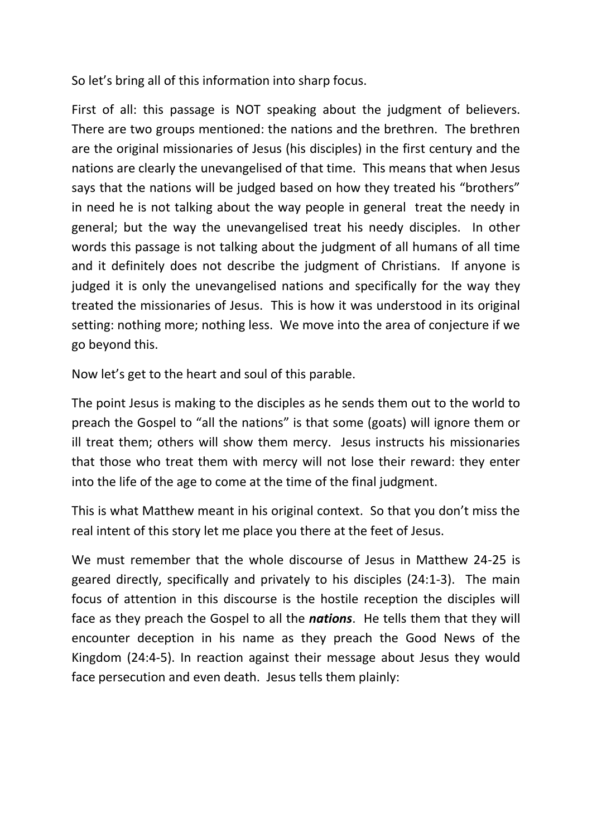So let's bring all of this information into sharp focus.

First of all: this passage is NOT speaking about the judgment of believers. There are two groups mentioned: the nations and the brethren. The brethren are the original missionaries of Jesus (his disciples) in the first century and the nations are clearly the unevangelised of that time. This means that when Jesus says that the nations will be judged based on how they treated his "brothers" in need he is not talking about the way people in general treat the needy in general; but the way the unevangelised treat his needy disciples. In other words this passage is not talking about the judgment of all humans of all time and it definitely does not describe the judgment of Christians. If anyone is judged it is only the unevangelised nations and specifically for the way they treated the missionaries of Jesus. This is how it was understood in its original setting: nothing more; nothing less. We move into the area of conjecture if we go beyond this.

Now let's get to the heart and soul of this parable.

The point Jesus is making to the disciples as he sends them out to the world to preach the Gospel to "all the nations" is that some (goats) will ignore them or ill treat them; others will show them mercy. Jesus instructs his missionaries that those who treat them with mercy will not lose their reward: they enter into the life of the age to come at the time of the final judgment.

This is what Matthew meant in his original context. So that you don't miss the real intent of this story let me place you there at the feet of Jesus.

We must remember that the whole discourse of Jesus in Matthew 24-25 is geared directly, specifically and privately to his disciples (24:1-3). The main focus of attention in this discourse is the hostile reception the disciples will face as they preach the Gospel to all the *nations*. He tells them that they will encounter deception in his name as they preach the Good News of the Kingdom (24:4-5). In reaction against their message about Jesus they would face persecution and even death. Jesus tells them plainly: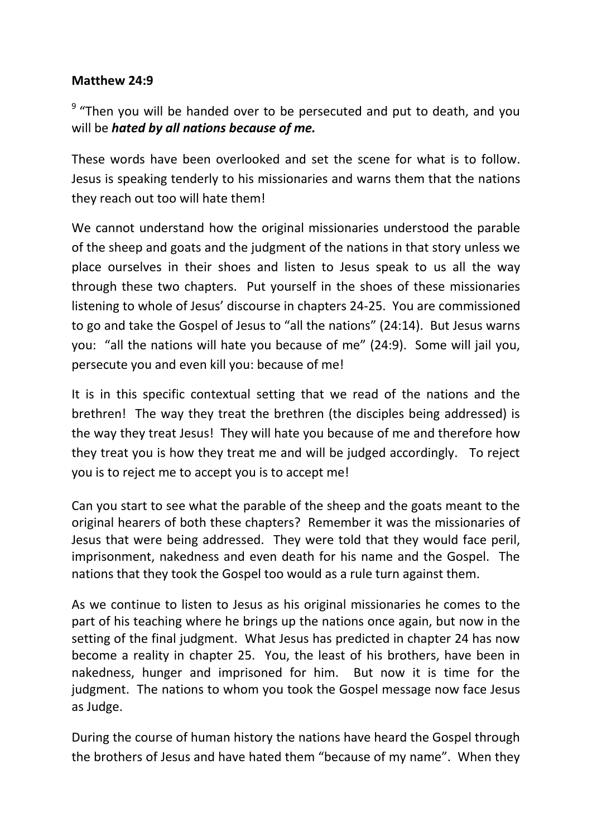### **Matthew 24:9**

<sup>9</sup> "Then you will be handed over to be persecuted and put to death, and you will be *hated by all nations because of me.*

These words have been overlooked and set the scene for what is to follow. Jesus is speaking tenderly to his missionaries and warns them that the nations they reach out too will hate them!

We cannot understand how the original missionaries understood the parable of the sheep and goats and the judgment of the nations in that story unless we place ourselves in their shoes and listen to Jesus speak to us all the way through these two chapters. Put yourself in the shoes of these missionaries listening to whole of Jesus' discourse in chapters 24-25. You are commissioned to go and take the Gospel of Jesus to "all the nations" (24:14). But Jesus warns you: "all the nations will hate you because of me" (24:9). Some will jail you, persecute you and even kill you: because of me!

It is in this specific contextual setting that we read of the nations and the brethren! The way they treat the brethren (the disciples being addressed) is the way they treat Jesus! They will hate you because of me and therefore how they treat you is how they treat me and will be judged accordingly. To reject you is to reject me to accept you is to accept me!

Can you start to see what the parable of the sheep and the goats meant to the original hearers of both these chapters? Remember it was the missionaries of Jesus that were being addressed. They were told that they would face peril, imprisonment, nakedness and even death for his name and the Gospel. The nations that they took the Gospel too would as a rule turn against them.

As we continue to listen to Jesus as his original missionaries he comes to the part of his teaching where he brings up the nations once again, but now in the setting of the final judgment. What Jesus has predicted in chapter 24 has now become a reality in chapter 25. You, the least of his brothers, have been in nakedness, hunger and imprisoned for him. But now it is time for the judgment. The nations to whom you took the Gospel message now face Jesus as Judge.

During the course of human history the nations have heard the Gospel through the brothers of Jesus and have hated them "because of my name". When they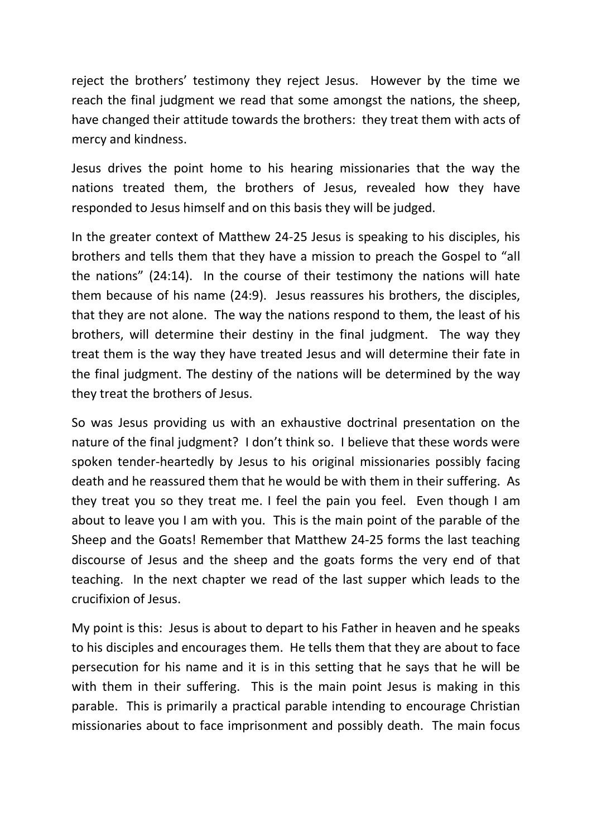reject the brothers' testimony they reject Jesus. However by the time we reach the final judgment we read that some amongst the nations, the sheep, have changed their attitude towards the brothers: they treat them with acts of mercy and kindness.

Jesus drives the point home to his hearing missionaries that the way the nations treated them, the brothers of Jesus, revealed how they have responded to Jesus himself and on this basis they will be judged.

In the greater context of Matthew 24-25 Jesus is speaking to his disciples, his brothers and tells them that they have a mission to preach the Gospel to "all the nations" (24:14). In the course of their testimony the nations will hate them because of his name (24:9). Jesus reassures his brothers, the disciples, that they are not alone. The way the nations respond to them, the least of his brothers, will determine their destiny in the final judgment. The way they treat them is the way they have treated Jesus and will determine their fate in the final judgment. The destiny of the nations will be determined by the way they treat the brothers of Jesus.

So was Jesus providing us with an exhaustive doctrinal presentation on the nature of the final judgment? I don't think so. I believe that these words were spoken tender-heartedly by Jesus to his original missionaries possibly facing death and he reassured them that he would be with them in their suffering. As they treat you so they treat me. I feel the pain you feel. Even though I am about to leave you I am with you. This is the main point of the parable of the Sheep and the Goats! Remember that Matthew 24-25 forms the last teaching discourse of Jesus and the sheep and the goats forms the very end of that teaching. In the next chapter we read of the last supper which leads to the crucifixion of Jesus.

My point is this: Jesus is about to depart to his Father in heaven and he speaks to his disciples and encourages them. He tells them that they are about to face persecution for his name and it is in this setting that he says that he will be with them in their suffering. This is the main point Jesus is making in this parable. This is primarily a practical parable intending to encourage Christian missionaries about to face imprisonment and possibly death. The main focus